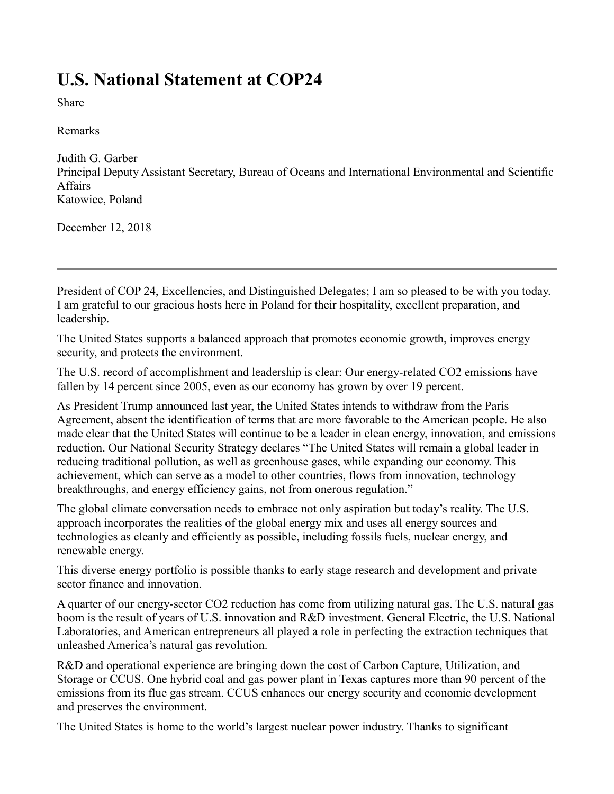## **U.S. National Statement at COP24**

Share

Remarks

Judith G. Garber Principal Deputy Assistant Secretary, Bureau of Oceans and International Environmental and Scientific Affairs Katowice, Poland

December 12, 2018

President of COP 24, Excellencies, and Distinguished Delegates; I am so pleased to be with you today. I am grateful to our gracious hosts here in Poland for their hospitality, excellent preparation, and leadership.

The United States supports a balanced approach that promotes economic growth, improves energy security, and protects the environment.

The U.S. record of accomplishment and leadership is clear: Our energy-related CO2 emissions have fallen by 14 percent since 2005, even as our economy has grown by over 19 percent.

As President Trump announced last year, the United States intends to withdraw from the Paris Agreement, absent the identification of terms that are more favorable to the American people. He also made clear that the United States will continue to be a leader in clean energy, innovation, and emissions reduction. Our National Security Strategy declares "The United States will remain a global leader in reducing traditional pollution, as well as greenhouse gases, while expanding our economy. This achievement, which can serve as a model to other countries, flows from innovation, technology breakthroughs, and energy efficiency gains, not from onerous regulation."

The global climate conversation needs to embrace not only aspiration but today's reality. The U.S. approach incorporates the realities of the global energy mix and uses all energy sources and technologies as cleanly and efficiently as possible, including fossils fuels, nuclear energy, and renewable energy.

This diverse energy portfolio is possible thanks to early stage research and development and private sector finance and innovation.

A quarter of our energy-sector CO2 reduction has come from utilizing natural gas. The U.S. natural gas boom is the result of years of U.S. innovation and R&D investment. General Electric, the U.S. National Laboratories, and American entrepreneurs all played a role in perfecting the extraction techniques that unleashed America's natural gas revolution.

R&D and operational experience are bringing down the cost of Carbon Capture, Utilization, and Storage or CCUS. One hybrid coal and gas power plant in Texas captures more than 90 percent of the emissions from its flue gas stream. CCUS enhances our energy security and economic development and preserves the environment.

The United States is home to the world's largest nuclear power industry. Thanks to significant